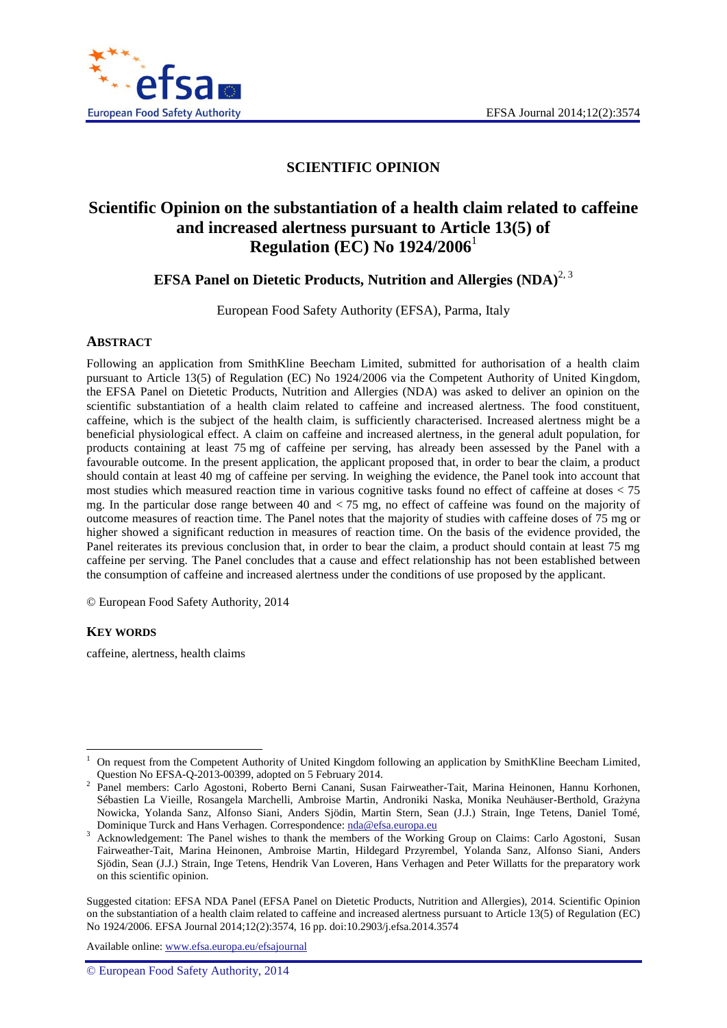

# **SCIENTIFIC OPINION**

# **Scientific Opinion on the substantiation of a health claim related to caffeine and increased alertness pursuant to Article 13(5) of Regulation (EC) No 1924/2006**<sup>1</sup>

# **EFSA Panel on Dietetic Products, Nutrition and Allergies (NDA)** 2, 3

European Food Safety Authority (EFSA), Parma, Italy

#### <span id="page-0-0"></span>**ABSTRACT**

Following an application from SmithKline Beecham Limited, submitted for authorisation of a health claim pursuant to Article 13(5) of Regulation (EC) No 1924/2006 via the Competent Authority of United Kingdom, the EFSA Panel on Dietetic Products, Nutrition and Allergies (NDA) was asked to deliver an opinion on the scientific substantiation of a health claim related to caffeine and increased alertness. The food constituent, caffeine, which is the subject of the health claim, is sufficiently characterised. Increased alertness might be a beneficial physiological effect. A claim on caffeine and increased alertness, in the general adult population, for products containing at least 75 mg of caffeine per serving, has already been assessed by the Panel with a favourable outcome. In the present application, the applicant proposed that, in order to bear the claim, a product should contain at least 40 mg of caffeine per serving. In weighing the evidence, the Panel took into account that most studies which measured reaction time in various cognitive tasks found no effect of caffeine at doses < 75 mg. In the particular dose range between 40 and < 75 mg, no effect of caffeine was found on the majority of outcome measures of reaction time. The Panel notes that the majority of studies with caffeine doses of 75 mg or higher showed a significant reduction in measures of reaction time. On the basis of the evidence provided, the Panel reiterates its previous conclusion that, in order to bear the claim, a product should contain at least 75 mg caffeine per serving. The Panel concludes that a cause and effect relationship has not been established between the consumption of caffeine and increased alertness under the conditions of use proposed by the applicant.

© European Food Safety Authority, 2014

#### **KEY WORDS**

 $\overline{a}$ 

caffeine, alertness, health claims

Suggested citation: EFSA NDA Panel (EFSA Panel on Dietetic Products, Nutrition and Allergies), 2014. Scientific Opinion on the substantiation of a health claim related to caffeine and increased alertness pursuant to Article 13(5) of Regulation (EC) No 1924/2006. EFSA Journal 2014;12(2):3574, 16 pp. doi:10.2903/j.efsa.2014.3574

Available online: www.efsa.europa.eu/efsajournal

<sup>1</sup> On request from the Competent Authority of United Kingdom following an application by SmithKline Beecham Limited, Question No EFSA-Q-2013-00399, adopted on 5 February 2014.

<sup>2</sup> Panel members: Carlo Agostoni, Roberto Berni Canani, Susan Fairweather-Tait, Marina Heinonen, Hannu Korhonen, Sébastien La Vieille, Rosangela Marchelli, Ambroise Martin, Androniki Naska, Monika Neuhäuser-Berthold, Grażyna Nowicka, Yolanda Sanz, Alfonso Siani, Anders Sjödin, Martin Stern, Sean (J.J.) Strain, Inge Tetens, Daniel Tomé, Dominique Turck and Hans Verhagen. Correspondence[: nda@efsa.europa.eu](mailto:nda@efsa.europa.eu)

Acknowledgement: The Panel wishes to thank the members of the Working Group on Claims: Carlo Agostoni, Susan Fairweather-Tait, Marina Heinonen, Ambroise Martin, Hildegard Przyrembel, Yolanda Sanz, Alfonso Siani, Anders Sjödin, Sean (J.J.) Strain, Inge Tetens, Hendrik Van Loveren, Hans Verhagen and Peter Willatts for the preparatory work on this scientific opinion.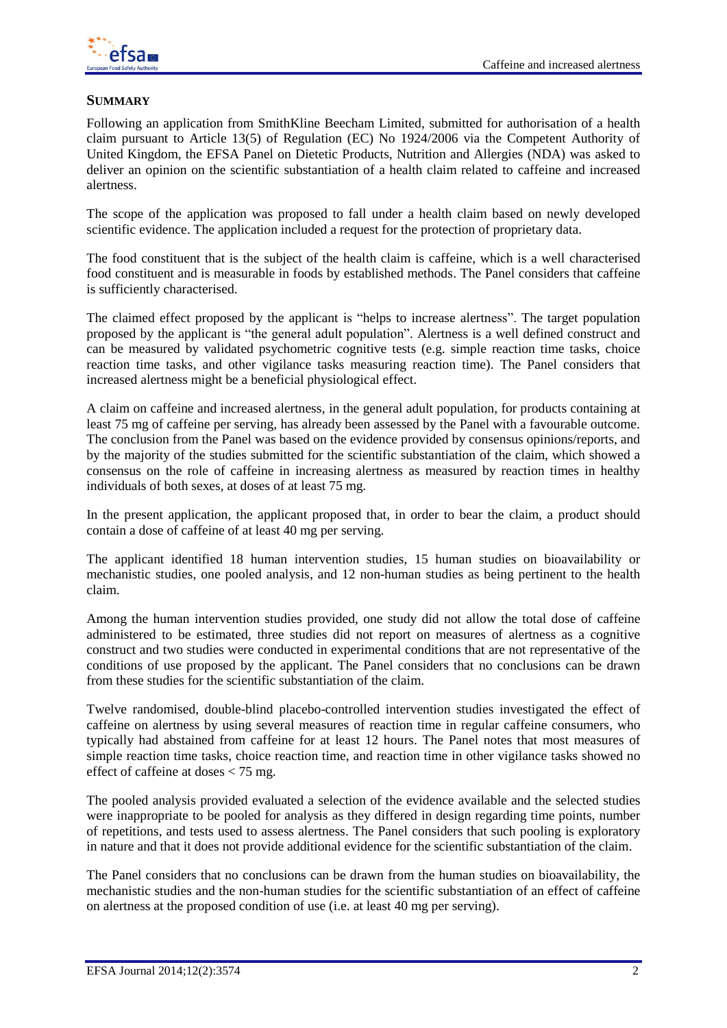

## <span id="page-1-0"></span>**SUMMARY**

Following an application from SmithKline Beecham Limited, submitted for authorisation of a health claim pursuant to Article 13(5) of Regulation (EC) No 1924/2006 via the Competent Authority of United Kingdom, the EFSA Panel on Dietetic Products, Nutrition and Allergies (NDA) was asked to deliver an opinion on the scientific substantiation of a health claim related to caffeine and increased alertness.

The scope of the application was proposed to fall under a health claim based on newly developed scientific evidence. The application included a request for the protection of proprietary data.

The food constituent that is the subject of the health claim is caffeine, which is a well characterised food constituent and is measurable in foods by established methods. The Panel considers that caffeine is sufficiently characterised.

The claimed effect proposed by the applicant is "helps to increase alertness". The target population proposed by the applicant is "the general adult population". Alertness is a well defined construct and can be measured by validated psychometric cognitive tests (e.g. simple reaction time tasks, choice reaction time tasks, and other vigilance tasks measuring reaction time). The Panel considers that increased alertness might be a beneficial physiological effect.

A claim on caffeine and increased alertness, in the general adult population, for products containing at least 75 mg of caffeine per serving, has already been assessed by the Panel with a favourable outcome. The conclusion from the Panel was based on the evidence provided by consensus opinions/reports, and by the majority of the studies submitted for the scientific substantiation of the claim, which showed a consensus on the role of caffeine in increasing alertness as measured by reaction times in healthy individuals of both sexes, at doses of at least 75 mg.

In the present application, the applicant proposed that, in order to bear the claim, a product should contain a dose of caffeine of at least 40 mg per serving.

The applicant identified 18 human intervention studies, 15 human studies on bioavailability or mechanistic studies, one pooled analysis, and 12 non-human studies as being pertinent to the health claim.

Among the human intervention studies provided, one study did not allow the total dose of caffeine administered to be estimated, three studies did not report on measures of alertness as a cognitive construct and two studies were conducted in experimental conditions that are not representative of the conditions of use proposed by the applicant. The Panel considers that no conclusions can be drawn from these studies for the scientific substantiation of the claim.

Twelve randomised, double-blind placebo-controlled intervention studies investigated the effect of caffeine on alertness by using several measures of reaction time in regular caffeine consumers, who typically had abstained from caffeine for at least 12 hours. The Panel notes that most measures of simple reaction time tasks, choice reaction time, and reaction time in other vigilance tasks showed no effect of caffeine at doses < 75 mg.

The pooled analysis provided evaluated a selection of the evidence available and the selected studies were inappropriate to be pooled for analysis as they differed in design regarding time points, number of repetitions, and tests used to assess alertness. The Panel considers that such pooling is exploratory in nature and that it does not provide additional evidence for the scientific substantiation of the claim.

The Panel considers that no conclusions can be drawn from the human studies on bioavailability, the mechanistic studies and the non-human studies for the scientific substantiation of an effect of caffeine on alertness at the proposed condition of use (i.e. at least 40 mg per serving).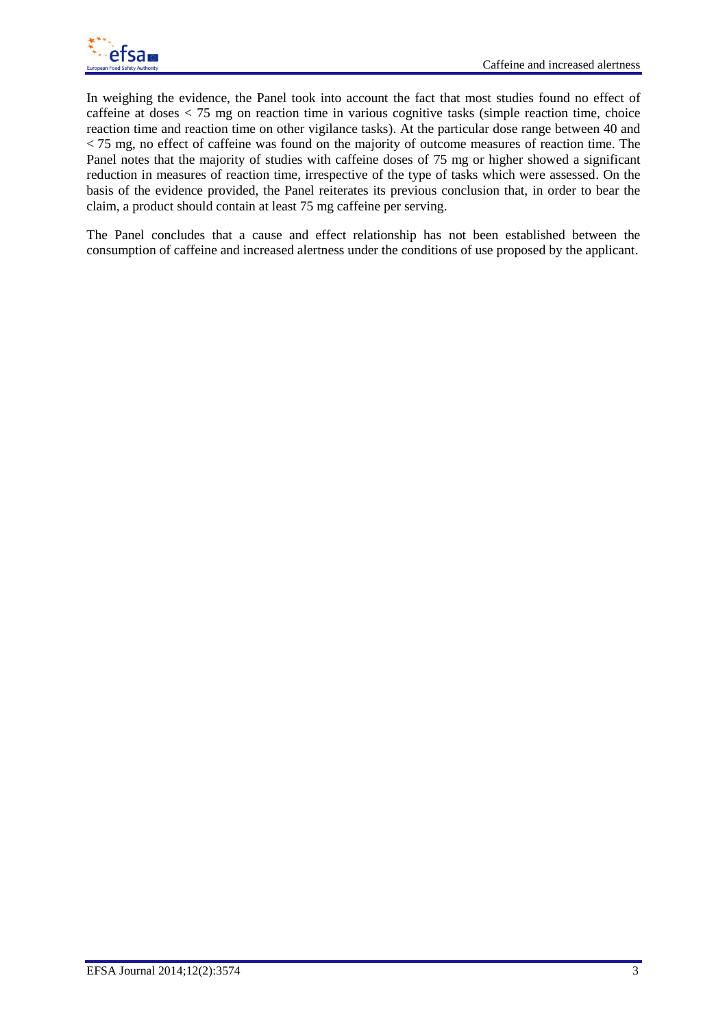In weighing the evidence, the Panel took into account the fact that most studies found no effect of caffeine at doses < 75 mg on reaction time in various cognitive tasks (simple reaction time, choice reaction time and reaction time on other vigilance tasks). At the particular dose range between 40 and  $<$  75 mg, no effect of caffeine was found on the majority of outcome measures of reaction time. The Panel notes that the majority of studies with caffeine doses of 75 mg or higher showed a significant reduction in measures of reaction time, irrespective of the type of tasks which were assessed. On the basis of the evidence provided, the Panel reiterates its previous conclusion that, in order to bear the claim, a product should contain at least 75 mg caffeine per serving.

The Panel concludes that a cause and effect relationship has not been established between the consumption of caffeine and increased alertness under the conditions of use proposed by the applicant.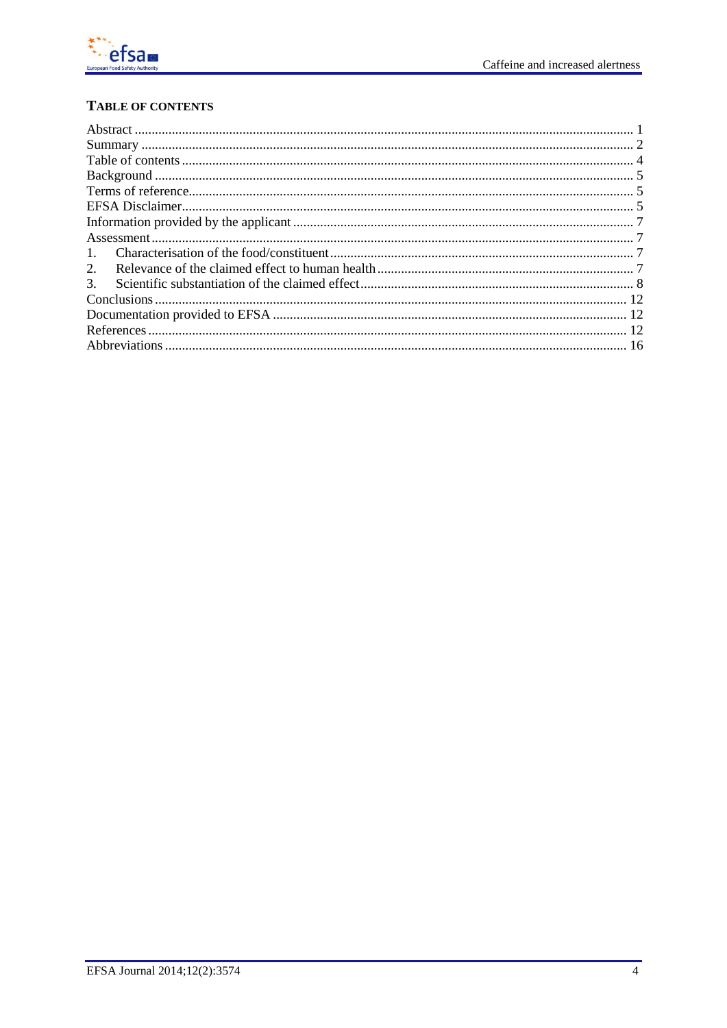

# <span id="page-3-0"></span>**TABLE OF CONTENTS**

| 1.             |  |
|----------------|--|
|                |  |
| 3 <sub>1</sub> |  |
|                |  |
|                |  |
|                |  |
|                |  |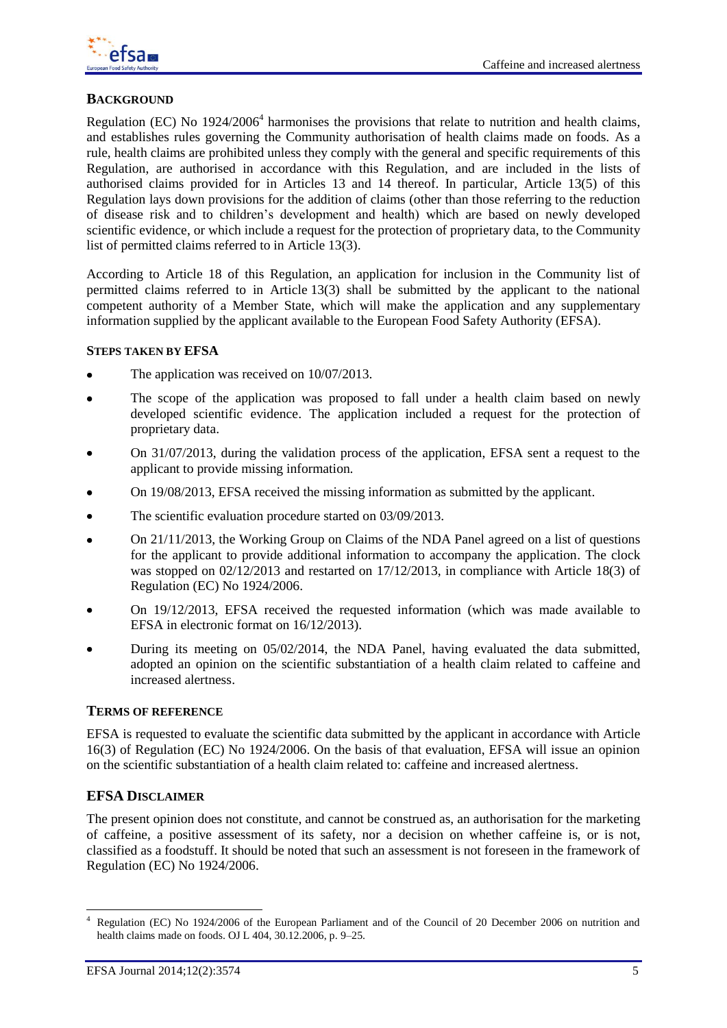# <span id="page-4-0"></span>**BACKGROUND**

Regulation (EC) No 1924/2006<sup>4</sup> harmonises the provisions that relate to nutrition and health claims, and establishes rules governing the Community authorisation of health claims made on foods. As a rule, health claims are prohibited unless they comply with the general and specific requirements of this Regulation, are authorised in accordance with this Regulation, and are included in the lists of authorised claims provided for in Articles 13 and 14 thereof. In particular, Article 13(5) of this Regulation lays down provisions for the addition of claims (other than those referring to the reduction of disease risk and to children's development and health) which are based on newly developed scientific evidence, or which include a request for the protection of proprietary data, to the Community list of permitted claims referred to in Article 13(3).

According to Article 18 of this Regulation, an application for inclusion in the Community list of permitted claims referred to in Article 13(3) shall be submitted by the applicant to the national competent authority of a Member State, which will make the application and any supplementary information supplied by the applicant available to the European Food Safety Authority (EFSA).

### **STEPS TAKEN BY EFSA**

- The application was received on 10/07/2013.
- The scope of the application was proposed to fall under a health claim based on newly developed scientific evidence. The application included a request for the protection of proprietary data.
- On 31/07/2013, during the validation process of the application, EFSA sent a request to the applicant to provide missing information.
- On 19/08/2013, EFSA received the missing information as submitted by the applicant.
- The scientific evaluation procedure started on 03/09/2013.  $\bullet$
- On 21/11/2013, the Working Group on Claims of the NDA Panel agreed on a list of questions for the applicant to provide additional information to accompany the application. The clock was stopped on 02/12/2013 and restarted on 17/12/2013, in compliance with Article 18(3) of Regulation (EC) No 1924/2006.
- On 19/12/2013, EFSA received the requested information (which was made available to EFSA in electronic format on 16/12/2013).
- During its meeting on 05/02/2014, the NDA Panel, having evaluated the data submitted, adopted an opinion on the scientific substantiation of a health claim related to caffeine and increased alertness.

## <span id="page-4-1"></span>**TERMS OF REFERENCE**

EFSA is requested to evaluate the scientific data submitted by the applicant in accordance with Article 16(3) of Regulation (EC) No 1924/2006. On the basis of that evaluation, EFSA will issue an opinion on the scientific substantiation of a health claim related to: caffeine and increased alertness.

## <span id="page-4-2"></span>**EFSA DISCLAIMER**

l

The present opinion does not constitute, and cannot be construed as, an authorisation for the marketing of caffeine, a positive assessment of its safety, nor a decision on whether caffeine is, or is not, classified as a foodstuff. It should be noted that such an assessment is not foreseen in the framework of Regulation (EC) No 1924/2006.

<sup>4</sup> Regulation (EC) No 1924/2006 of the European Parliament and of the Council of 20 December 2006 on nutrition and health claims made on foods. OJ L 404, 30.12.2006, p. 9–25.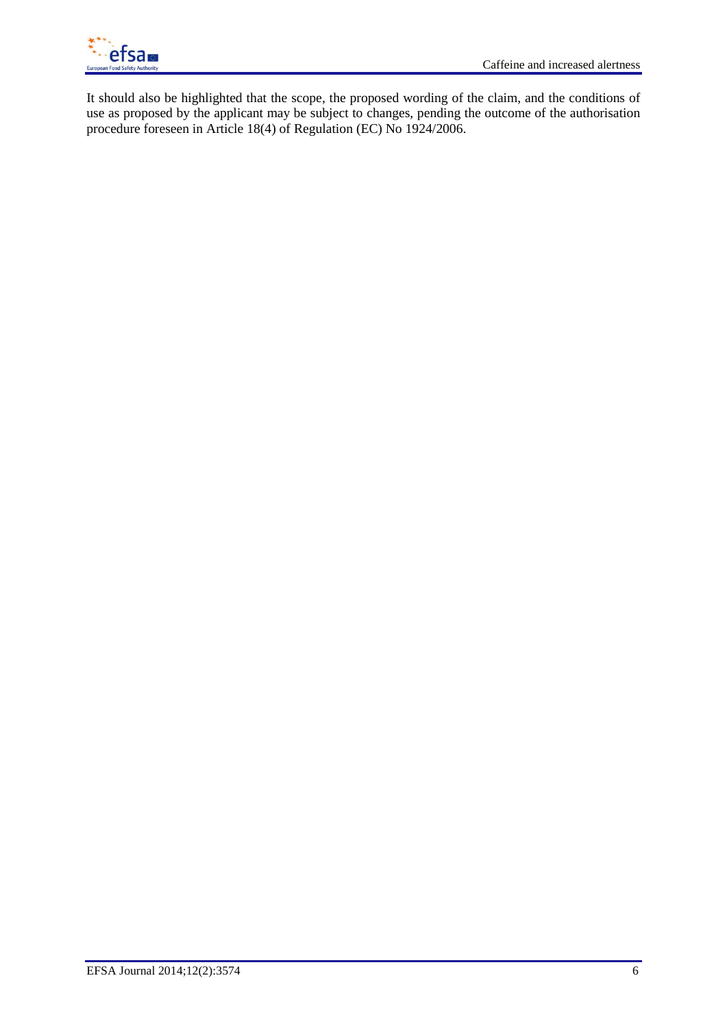It should also be highlighted that the scope, the proposed wording of the claim, and the conditions of use as proposed by the applicant may be subject to changes, pending the outcome of the authorisation procedure foreseen in Article 18(4) of Regulation (EC) No 1924/2006.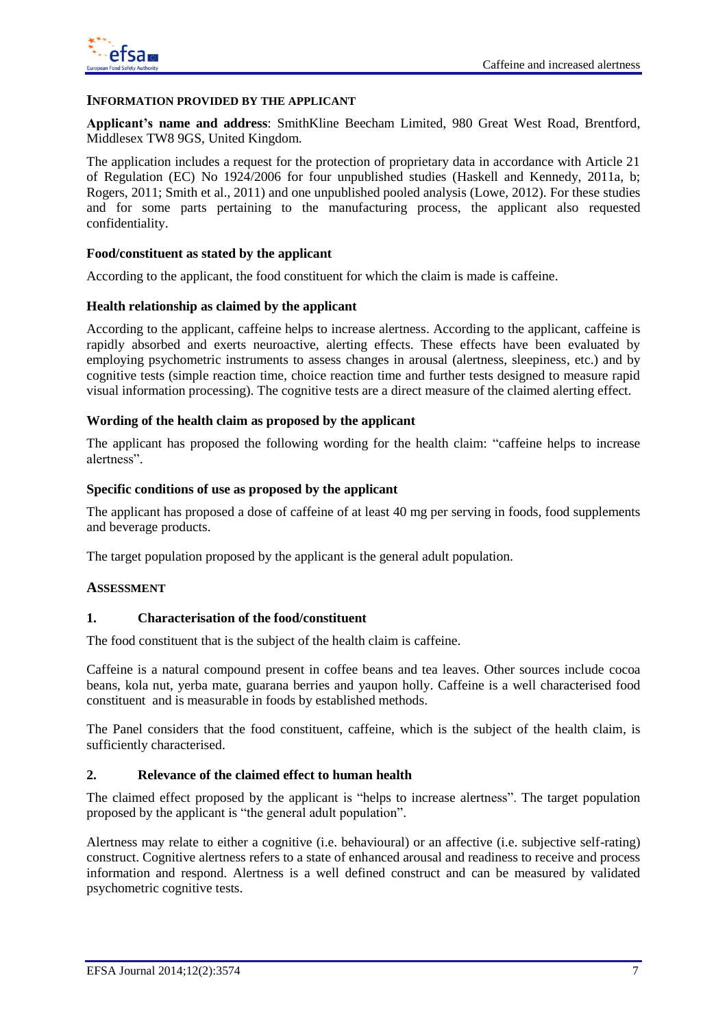

#### <span id="page-6-0"></span>**INFORMATION PROVIDED BY THE APPLICANT**

**Applicant's name and address**: SmithKline Beecham Limited, 980 Great West Road, Brentford, Middlesex TW8 9GS, United Kingdom.

The application includes a request for the protection of proprietary data in accordance with Article 21 of Regulation (EC) No 1924/2006 for four unpublished studies (Haskell and Kennedy, 2011a, b; Rogers, 2011; Smith et al., 2011) and one unpublished pooled analysis (Lowe, 2012). For these studies and for some parts pertaining to the manufacturing process, the applicant also requested confidentiality.

#### **Food/constituent as stated by the applicant**

According to the applicant, the food constituent for which the claim is made is caffeine.

#### **Health relationship as claimed by the applicant**

According to the applicant, caffeine helps to increase alertness. According to the applicant, caffeine is rapidly absorbed and exerts neuroactive, alerting effects. These effects have been evaluated by employing psychometric instruments to assess changes in arousal (alertness, sleepiness, etc.) and by cognitive tests (simple reaction time, choice reaction time and further tests designed to measure rapid visual information processing). The cognitive tests are a direct measure of the claimed alerting effect.

#### **Wording of the health claim as proposed by the applicant**

The applicant has proposed the following wording for the health claim: "caffeine helps to increase alertness".

#### **Specific conditions of use as proposed by the applicant**

The applicant has proposed a dose of caffeine of at least 40 mg per serving in foods, food supplements and beverage products.

The target population proposed by the applicant is the general adult population.

#### <span id="page-6-1"></span>**ASSESSMENT**

#### <span id="page-6-2"></span>**1. Characterisation of the food/constituent**

The food constituent that is the subject of the health claim is caffeine.

Caffeine is a natural compound present in coffee beans and tea leaves. Other sources include cocoa beans, kola nut, yerba mate, guarana berries and yaupon holly. Caffeine is a well characterised food constituent and is measurable in foods by established methods.

The Panel considers that the food constituent, caffeine, which is the subject of the health claim, is sufficiently characterised.

#### <span id="page-6-3"></span>**2. Relevance of the claimed effect to human health**

The claimed effect proposed by the applicant is "helps to increase alertness". The target population proposed by the applicant is "the general adult population".

Alertness may relate to either a cognitive (i.e. behavioural) or an affective (i.e. subjective self-rating) construct. Cognitive alertness refers to a state of enhanced arousal and readiness to receive and process information and respond. Alertness is a well defined construct and can be measured by validated psychometric cognitive tests.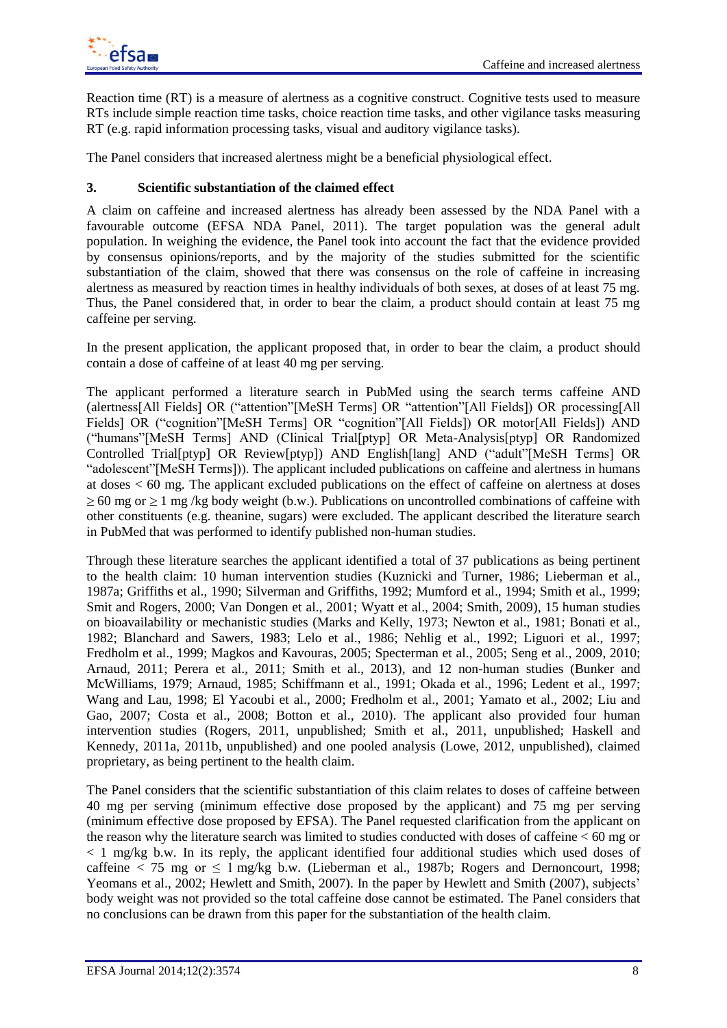Reaction time (RT) is a measure of alertness as a cognitive construct. Cognitive tests used to measure RTs include simple reaction time tasks, choice reaction time tasks, and other vigilance tasks measuring RT (e.g. rapid information processing tasks, visual and auditory vigilance tasks).

The Panel considers that increased alertness might be a beneficial physiological effect.

## <span id="page-7-0"></span>**3. Scientific substantiation of the claimed effect**

A claim on caffeine and increased alertness has already been assessed by the NDA Panel with a favourable outcome [\(EFSA NDA Panel, 2011\)](#page-11-3). The target population was the general adult population. In weighing the evidence, the Panel took into account the fact that the evidence provided by consensus opinions/reports, and by the majority of the studies submitted for the scientific substantiation of the claim, showed that there was consensus on the role of caffeine in increasing alertness as measured by reaction times in healthy individuals of both sexes, at doses of at least 75 mg. Thus, the Panel considered that, in order to bear the claim, a product should contain at least 75 mg caffeine per serving.

In the present application, the applicant proposed that, in order to bear the claim, a product should contain a dose of caffeine of at least 40 mg per serving.

The applicant performed a literature search in PubMed using the search terms caffeine AND (alertness[All Fields] OR ("attention"[MeSH Terms] OR "attention"[All Fields]) OR processing[All Fields] OR ("cognition"[MeSH Terms] OR "cognition"[All Fields]) OR motor[All Fields]) AND ("humans"[MeSH Terms] AND (Clinical Trial[ptyp] OR Meta-Analysis[ptyp] OR Randomized Controlled Trial[ptyp] OR Review[ptyp]) AND English[lang] AND ("adult"[MeSH Terms] OR "adolescent"[MeSH Terms])). The applicant included publications on caffeine and alertness in humans at doses < 60 mg. The applicant excluded publications on the effect of caffeine on alertness at doses  $\geq 60$  mg or  $\geq 1$  mg /kg body weight (b.w.). Publications on uncontrolled combinations of caffeine with other constituents (e.g. theanine, sugars) were excluded. The applicant described the literature search in PubMed that was performed to identify published non-human studies.

Through these literature searches the applicant identified a total of 37 publications as being pertinent to the health claim: 10 human intervention studies [\(Kuznicki and Turner, 1986;](#page-12-0) [Lieberman et al.,](#page-12-1)  [1987a;](#page-12-1) [Griffiths et al., 1990;](#page-12-2) [Silverman and Griffiths, 1992;](#page-13-0) [Mumford et al., 1994;](#page-12-3) [Smith et al., 1999;](#page-13-1) [Smit and Rogers, 2000;](#page-13-2) [Van Dongen et al., 2001;](#page-13-3) [Wyatt et al., 2004;](#page-13-4) [Smith, 2009\)](#page-13-1), 15 human studies on bioavailability or mechanistic studies [\(Marks and Kelly, 1973;](#page-12-4) [Newton et al., 1981;](#page-13-5) [Bonati et al.,](#page-11-4)  [1982;](#page-11-4) [Blanchard and Sawers, 1983;](#page-11-5) [Lelo et al., 1986;](#page-12-5) [Nehlig et al., 1992;](#page-12-6) [Liguori et al., 1997;](#page-12-7) [Fredholm et al., 1999;](#page-12-8) [Magkos and Kavouras, 2005;](#page-12-9) [Specterman et al., 2005;](#page-13-6) [Seng et al., 2009,](#page-13-7) 2010; [Arnaud, 2011;](#page-11-6) [Perera et al., 2011;](#page-13-8) [Smith et al., 2013\)](#page-13-9), and 12 non-human studies [\(Bunker and](#page-11-7)  [McWilliams, 1979;](#page-11-7) [Arnaud, 1985;](#page-11-8) [Schiffmann et al., 1991;](#page-13-10) [Okada et al., 1996;](#page-13-11) [Ledent et al., 1997;](#page-12-10) [Wang and Lau, 1998;](#page-13-12) [El Yacoubi et al., 2000;](#page-11-9) [Fredholm et al., 2001;](#page-12-11) [Yamato et al., 2002;](#page-14-0) [Liu and](#page-12-12)  [Gao, 2007;](#page-12-12) [Costa et al., 2008;](#page-11-10) [Botton et al., 2010\)](#page-11-11). The applicant also provided four human intervention studies [\(Rogers, 2011, unpublished;](#page-13-13) [Smith et al., 2011, unpublished;](#page-13-14) [Haskell and](#page-12-13)  [Kennedy, 2011a, 2011b, unpublished\)](#page-12-13) and one pooled analysis [\(Lowe, 2012, unpublished\)](#page-12-14), claimed proprietary, as being pertinent to the health claim.

The Panel considers that the scientific substantiation of this claim relates to doses of caffeine between 40 mg per serving (minimum effective dose proposed by the applicant) and 75 mg per serving (minimum effective dose proposed by EFSA). The Panel requested clarification from the applicant on the reason why the literature search was limited to studies conducted with doses of caffeine < 60 mg or < 1 mg/kg b.w. In its reply, the applicant identified four additional studies which used doses of caffeine  $\lt$  75 mg or  $\leq$  1 mg/kg b.w. [\(Lieberman et al., 1987b;](#page-12-15) [Rogers and Dernoncourt, 1998;](#page-13-15) [Yeomans et al., 2002;](#page-14-1) [Hewlett and Smith, 2007\)](#page-12-16). In the paper by [Hewlett and Smith \(2007\)](#page-12-16), subjects' body weight was not provided so the total caffeine dose cannot be estimated. The Panel considers that no conclusions can be drawn from this paper for the substantiation of the health claim.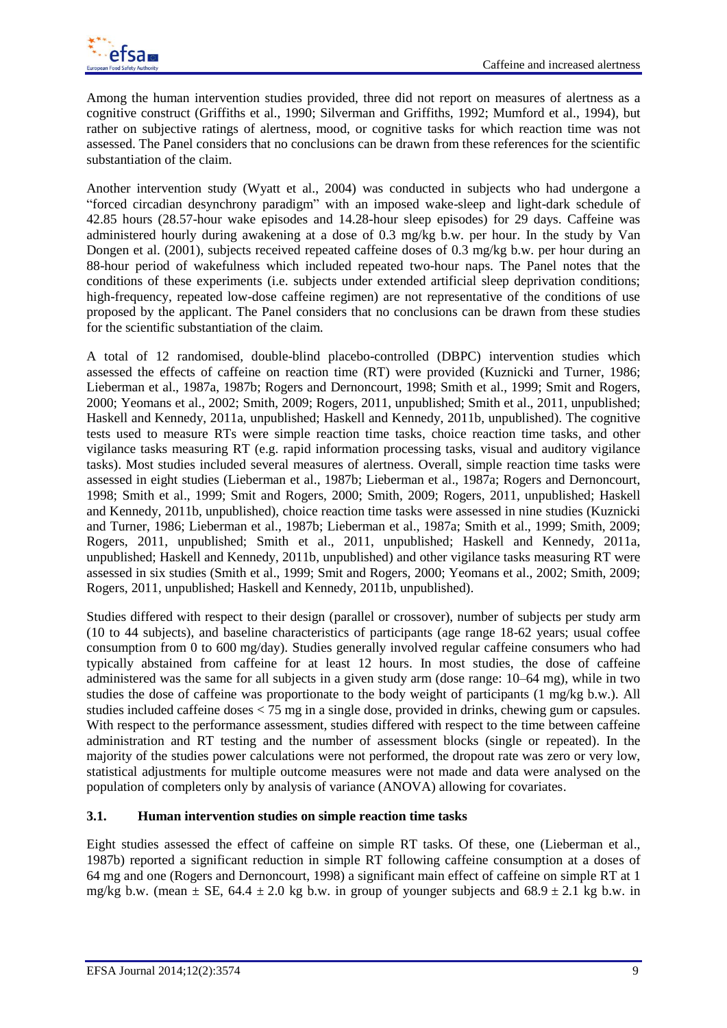

Among the human intervention studies provided, three did not report on measures of alertness as a cognitive construct [\(Griffiths et al., 1990;](#page-12-2) [Silverman and Griffiths, 1992;](#page-13-0) [Mumford et al., 1994\)](#page-12-3), but rather on subjective ratings of alertness, mood, or cognitive tasks for which reaction time was not assessed. The Panel considers that no conclusions can be drawn from these references for the scientific substantiation of the claim.

Another intervention study [\(Wyatt et al., 2004\)](#page-13-4) was conducted in subjects who had undergone a "forced circadian desynchrony paradigm" with an imposed wake-sleep and light-dark schedule of 42.85 hours (28.57-hour wake episodes and 14.28-hour sleep episodes) for 29 days. Caffeine was administered hourly during awakening at a dose of 0.3 mg/kg b.w. per hour. In the study by [Van](#page-13-3)  [Dongen et al. \(2001\)](#page-13-3), subjects received repeated caffeine doses of 0.3 mg/kg b.w. per hour during an 88-hour period of wakefulness which included repeated two-hour naps. The Panel notes that the conditions of these experiments (i.e. subjects under extended artificial sleep deprivation conditions; high-frequency, repeated low-dose caffeine regimen) are not representative of the conditions of use proposed by the applicant. The Panel considers that no conclusions can be drawn from these studies for the scientific substantiation of the claim.

A total of 12 randomised, double-blind placebo-controlled (DBPC) intervention studies which assessed the effects of caffeine on reaction time (RT) were provided [\(Kuznicki and Turner, 1986;](#page-12-0) [Lieberman et al., 1987a, 1987b;](#page-12-15) [Rogers and Dernoncourt, 1998;](#page-13-15) [Smith et al., 1999;](#page-13-1) [Smit and Rogers,](#page-13-2)  [2000;](#page-13-2) Yeomans [et al., 2002;](#page-14-1) [Smith, 2009;](#page-13-1) [Rogers, 2011, unpublished;](#page-13-13) [Smith et al., 2011, unpublished;](#page-13-14) [Haskell and Kennedy, 2011a, unpublished;](#page-12-13) [Haskell and Kennedy, 2011b, unpublished\)](#page-12-17). The cognitive tests used to measure RTs were simple reaction time tasks, choice reaction time tasks, and other vigilance tasks measuring RT (e.g. rapid information processing tasks, visual and auditory vigilance tasks). Most studies included several measures of alertness. Overall, simple reaction time tasks were assessed in eight studies [\(Lieberman et al., 1987b;](#page-12-15) [Lieberman et al., 1987a;](#page-12-1) [Rogers and Dernoncourt,](#page-13-15)  [1998;](#page-13-15) [Smith et al., 1999;](#page-13-1) [Smit and Rogers, 2000;](#page-13-2) [Smith, 2009;](#page-13-1) [Rogers, 2011, unpublished;](#page-13-13) [Haskell](#page-12-17)  [and Kennedy, 2011b, unpublished\)](#page-12-17), choice reaction time tasks were assessed in nine studies [\(Kuznicki](#page-12-0)  [and Turner, 1986;](#page-12-0) [Lieberman et al., 1987b;](#page-12-15) [Lieberman et al., 1987a;](#page-12-1) [Smith et al., 1999; Smith, 2009;](#page-13-1) [Rogers, 2011, unpublished;](#page-13-13) [Smith et al., 2011, unpublished;](#page-13-14) [Haskell and Kennedy, 2011a,](#page-12-13)  [unpublished;](#page-12-13) [Haskell and Kennedy, 2011b, unpublished\)](#page-12-17) and other vigilance tasks measuring RT were assessed in six studies (Smith et [al., 1999;](#page-13-1) [Smit and Rogers, 2000;](#page-13-2) [Yeomans et al., 2002;](#page-14-1) [Smith, 2009;](#page-13-1) [Rogers, 2011, unpublished;](#page-13-13) [Haskell and Kennedy, 2011b, unpublished\)](#page-12-17).

Studies differed with respect to their design (parallel or crossover), number of subjects per study arm (10 to 44 subjects), and baseline characteristics of participants (age range 18-62 years; usual coffee consumption from 0 to 600 mg/day). Studies generally involved regular caffeine consumers who had typically abstained from caffeine for at least 12 hours. In most studies, the dose of caffeine administered was the same for all subjects in a given study arm (dose range: 10–64 mg), while in two studies the dose of caffeine was proportionate to the body weight of participants (1 mg/kg b.w.). All studies included caffeine doses < 75 mg in a single dose, provided in drinks, chewing gum or capsules. With respect to the performance assessment, studies differed with respect to the time between caffeine administration and RT testing and the number of assessment blocks (single or repeated). In the majority of the studies power calculations were not performed, the dropout rate was zero or very low, statistical adjustments for multiple outcome measures were not made and data were analysed on the population of completers only by analysis of variance (ANOVA) allowing for covariates.

# **3.1. Human intervention studies on simple reaction time tasks**

Eight studies assessed the effect of caffeine on simple RT tasks. Of these, one [\(Lieberman et al.,](#page-12-15)  [1987b\)](#page-12-15) reported a significant reduction in simple RT following caffeine consumption at a doses of 64 mg and one [\(Rogers and Dernoncourt, 1998\)](#page-13-15) a significant main effect of caffeine on simple RT at 1 mg/kg b.w. (mean  $\pm$  SE, 64.4  $\pm$  2.0 kg b.w. in group of younger subjects and 68.9  $\pm$  2.1 kg b.w. in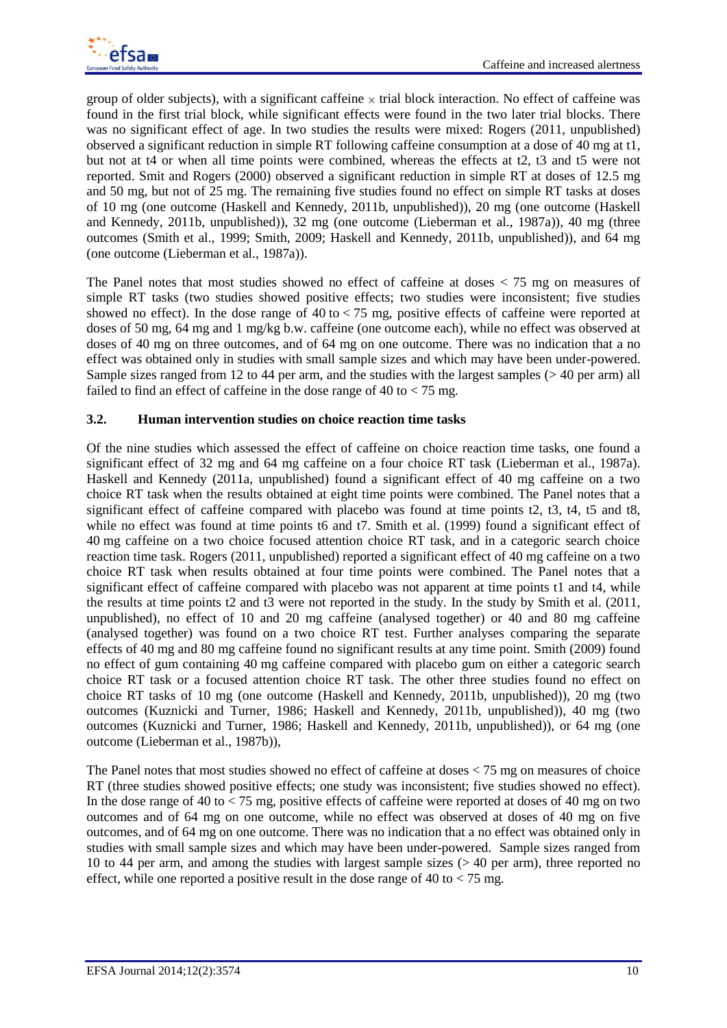group of older subjects), with a significant caffeine  $\times$  trial block interaction. No effect of caffeine was found in the first trial block, while significant effects were found in the two later trial blocks. There was no significant effect of age. In two studies the results were mixed: [Rogers \(2011, unpublished\)](#page-13-13) observed a significant reduction in simple RT following caffeine consumption at a dose of 40 mg at t1, but not at t4 or when all time points were combined, whereas the effects at t2, t3 and t5 were not reported. [Smit and Rogers \(2000\)](#page-13-2) observed a significant reduction in simple RT at doses of 12.5 mg and 50 mg, but not of 25 mg. The remaining five studies found no effect on simple RT tasks at doses of 10 mg (one outcome [\(Haskell and Kennedy, 2011b, unpublished\)](#page-12-17)), 20 mg (one outcome [\(Haskell](#page-12-17)  [and Kennedy, 2011b, unpublished\)](#page-12-17)), 32 mg (one outcome [\(Lieberman et al., 1987a\)](#page-12-1)), 40 mg (three outcomes [\(Smith et al.,](#page-13-1) 1999; [Smith, 2009;](#page-13-1) [Haskell and Kennedy, 2011b, unpublished\)](#page-12-17)), and 64 mg (one outcome [\(Lieberman et al., 1987a\)](#page-12-1)).

The Panel notes that most studies showed no effect of caffeine at doses < 75 mg on measures of simple RT tasks (two studies showed positive effects; two studies were inconsistent; five studies showed no effect). In the dose range of  $40 \text{ to } < 75$  mg, positive effects of caffeine were reported at doses of 50 mg, 64 mg and 1 mg/kg b.w. caffeine (one outcome each), while no effect was observed at doses of 40 mg on three outcomes, and of 64 mg on one outcome. There was no indication that a no effect was obtained only in studies with small sample sizes and which may have been under-powered. Sample sizes ranged from 12 to 44 per arm, and the studies with the largest samples (> 40 per arm) all failed to find an effect of caffeine in the dose range of 40 to  $<$  75 mg.

## **3.2. Human intervention studies on choice reaction time tasks**

Of the nine studies which assessed the effect of caffeine on choice reaction time tasks, one found a significant effect of 32 mg and 64 mg caffeine on a four choice RT task [\(Lieberman et al., 1987a\)](#page-12-1). [Haskell and Kennedy \(2011a, unpublished\)](#page-12-13) found a significant effect of 40 mg caffeine on a two choice RT task when the results obtained at eight time points were combined. The Panel notes that a significant effect of caffeine compared with placebo was found at time points t2, t3, t4, t5 and t8, while no effect was found at time points t6 and t7. [Smith et al. \(1999\)](#page-13-1) found a significant effect of 40 mg caffeine on a two choice focused attention choice RT task, and in a categoric search choice reaction time task. [Rogers \(2011, unpublished\)](#page-13-13) reported a significant effect of 40 mg caffeine on a two choice RT task when results obtained at four time points were combined. The Panel notes that a significant effect of caffeine compared with placebo was not apparent at time points t1 and t4, while the results at time points t2 and t3 were not reported in the study. In the study by [Smith et al. \(2011,](#page-13-14)  [unpublished\)](#page-13-14), no effect of 10 and 20 mg caffeine (analysed together) or 40 and 80 mg caffeine (analysed together) was found on a two choice RT test. Further analyses comparing the separate effects of 40 mg and 80 mg caffeine found no significant results at any time point. [Smith \(2009\)](#page-13-1) found no effect of gum containing 40 mg caffeine compared with placebo gum on either a categoric search choice RT task or a focused attention choice RT task. The other three studies found no effect on choice RT tasks of 10 mg (one outcome [\(Haskell and Kennedy, 2011b, unpublished\)](#page-12-17)), 20 mg (two outcomes [\(Kuznicki and Turner, 1986;](#page-12-0) [Haskell and Kennedy, 2011b, unpublished\)](#page-12-17)), 40 mg (two outcomes [\(Kuznicki and Turner, 1986;](#page-12-0) [Haskell and Kennedy, 2011b, unpublished\)](#page-12-17)), or 64 mg (one outcome [\(Lieberman et al., 1987b\)](#page-12-15)),

The Panel notes that most studies showed no effect of caffeine at doses < 75 mg on measures of choice RT (three studies showed positive effects; one study was inconsistent; five studies showed no effect). In the dose range of 40 to < 75 mg, positive effects of caffeine were reported at doses of 40 mg on two outcomes and of 64 mg on one outcome, while no effect was observed at doses of 40 mg on five outcomes, and of 64 mg on one outcome. There was no indication that a no effect was obtained only in studies with small sample sizes and which may have been under-powered. Sample sizes ranged from 10 to 44 per arm, and among the studies with largest sample sizes (> 40 per arm), three reported no effect, while one reported a positive result in the dose range of 40 to  $\lt$  75 mg.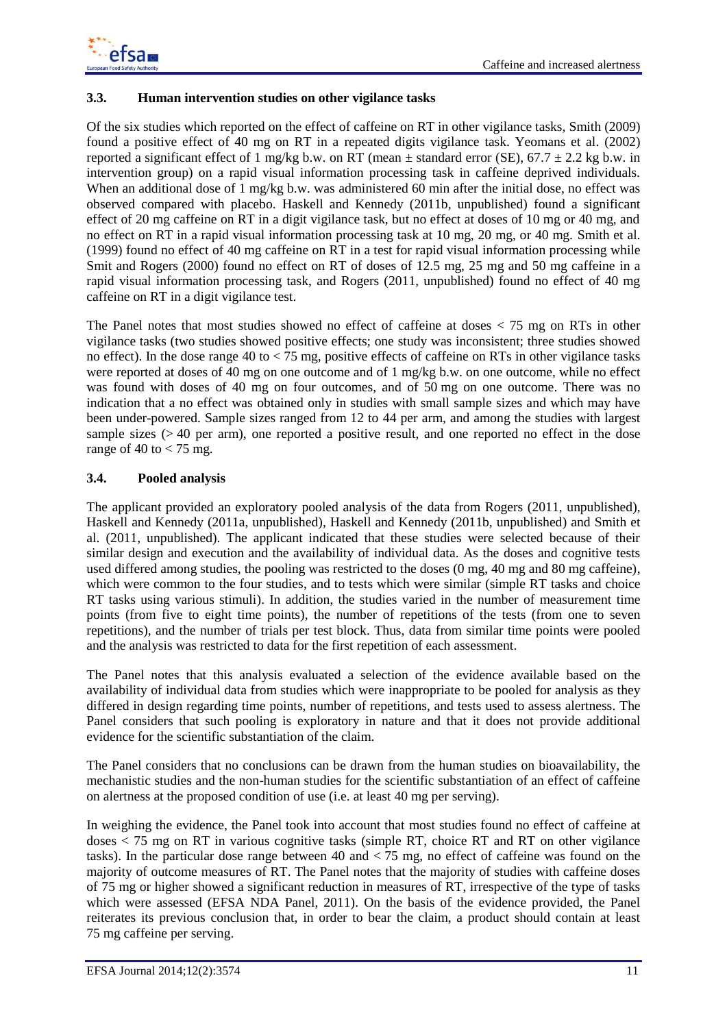

## **3.3. Human intervention studies on other vigilance tasks**

Of the six studies which reported on the effect of caffeine on RT in other vigilance tasks, [Smith \(2009\)](#page-13-1) found a positive effect of 40 mg on RT in a repeated digits vigilance task. [Yeomans et al.](#page-14-1) (2002) reported a significant effect of 1 mg/kg b.w. on RT (mean  $\pm$  standard error (SE), 67.7  $\pm$  2.2 kg b.w. in intervention group) on a rapid visual information processing task in caffeine deprived individuals. When an additional dose of 1 mg/kg b.w. was administered 60 min after the initial dose, no effect was observed compared with placebo. [Haskell and Kennedy \(2011b, unpublished\)](#page-12-17) found a significant effect of 20 mg caffeine on RT in a digit vigilance task, but no effect at doses of 10 mg or 40 mg, and no effect on RT in a rapid visual information processing task at 10 mg, 20 mg, or 40 mg. [Smith et al.](#page-13-1)  [\(1999\)](#page-13-1) found no effect of 40 mg caffeine on RT in a test for rapid visual information processing while [Smit and Rogers \(2000\)](#page-13-2) found no effect on RT of doses of 12.5 mg, 25 mg and 50 mg caffeine in a rapid visual information processing task, and [Rogers \(2011, unpublished\)](#page-13-13) found no effect of 40 mg caffeine on RT in a digit vigilance test.

The Panel notes that most studies showed no effect of caffeine at doses < 75 mg on RTs in other vigilance tasks (two studies showed positive effects; one study was inconsistent; three studies showed no effect). In the dose range  $40 \text{ to } 575 \text{ mg}$ , positive effects of caffeine on RTs in other vigilance tasks were reported at doses of 40 mg on one outcome and of 1 mg/kg b.w. on one outcome, while no effect was found with doses of 40 mg on four outcomes, and of 50 mg on one outcome. There was no indication that a no effect was obtained only in studies with small sample sizes and which may have been under-powered. Sample sizes ranged from 12 to 44 per arm, and among the studies with largest sample sizes (> 40 per arm), one reported a positive result, and one reported no effect in the dose range of 40 to  $<$  75 mg.

### **3.4. Pooled analysis**

The applicant provided an exploratory pooled analysis of the data from [Rogers \(2011, unpublished\)](#page-13-13), [Haskell and Kennedy \(2011a, unpublished\)](#page-12-13), [Haskell and Kennedy \(2011b, unpublished\)](#page-12-17) and [Smith et](#page-13-14)  [al. \(2011, unpublished\)](#page-13-14). The applicant indicated that these studies were selected because of their similar design and execution and the availability of individual data. As the doses and cognitive tests used differed among studies, the pooling was restricted to the doses (0 mg, 40 mg and 80 mg caffeine), which were common to the four studies, and to tests which were similar (simple RT tasks and choice RT tasks using various stimuli). In addition, the studies varied in the number of measurement time points (from five to eight time points), the number of repetitions of the tests (from one to seven repetitions), and the number of trials per test block. Thus, data from similar time points were pooled and the analysis was restricted to data for the first repetition of each assessment.

The Panel notes that this analysis evaluated a selection of the evidence available based on the availability of individual data from studies which were inappropriate to be pooled for analysis as they differed in design regarding time points, number of repetitions, and tests used to assess alertness. The Panel considers that such pooling is exploratory in nature and that it does not provide additional evidence for the scientific substantiation of the claim.

The Panel considers that no conclusions can be drawn from the human studies on bioavailability, the mechanistic studies and the non-human studies for the scientific substantiation of an effect of caffeine on alertness at the proposed condition of use (i.e. at least 40 mg per serving).

In weighing the evidence, the Panel took into account that most studies found no effect of caffeine at doses < 75 mg on RT in various cognitive tasks (simple RT, choice RT and RT on other vigilance tasks). In the particular dose range between 40 and < 75 mg, no effect of caffeine was found on the majority of outcome measures of RT. The Panel notes that the majority of studies with caffeine doses of 75 mg or higher showed a significant reduction in measures of RT, irrespective of the type of tasks which were assessed [\(EFSA NDA Panel, 2011\)](#page-11-3). On the basis of the evidence provided, the Panel reiterates its previous conclusion that, in order to bear the claim, a product should contain at least 75 mg caffeine per serving.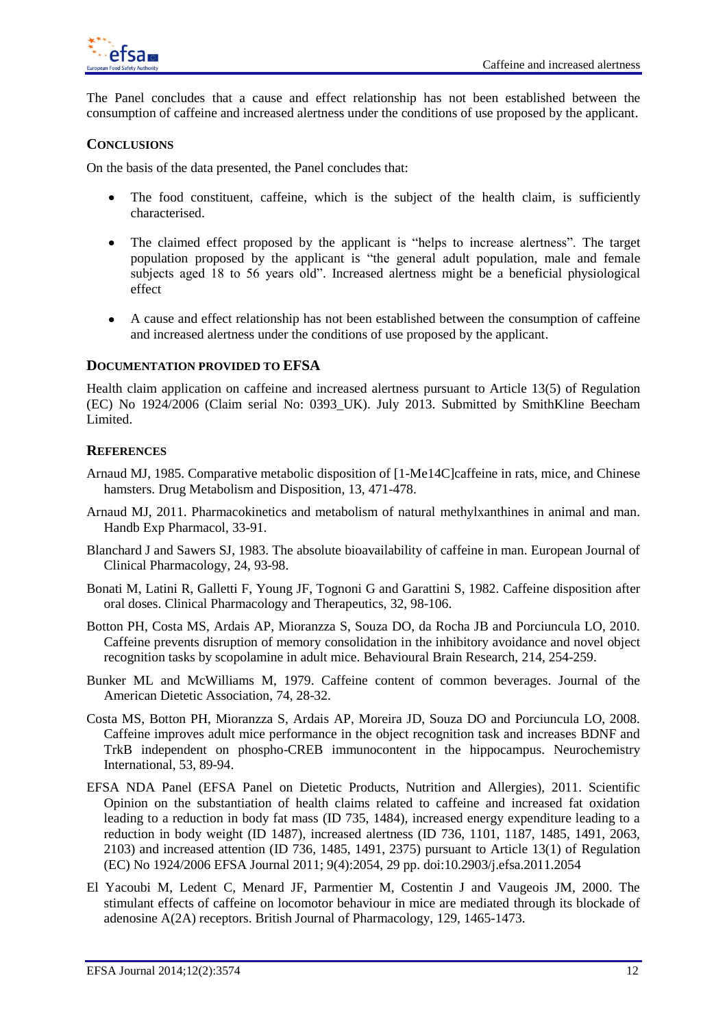

The Panel concludes that a cause and effect relationship has not been established between the consumption of caffeine and increased alertness under the conditions of use proposed by the applicant.

## <span id="page-11-0"></span>**CONCLUSIONS**

On the basis of the data presented, the Panel concludes that:

- $\bullet$ The food constituent, caffeine, which is the subject of the health claim, is sufficiently characterised.
- The claimed effect proposed by the applicant is "helps to increase alertness". The target population proposed by the applicant is "the general adult population, male and female subjects aged 18 to 56 years old". Increased alertness might be a beneficial physiological effect
- A cause and effect relationship has not been established between the consumption of caffeine and increased alertness under the conditions of use proposed by the applicant.

### <span id="page-11-1"></span>**DOCUMENTATION PROVIDED TO EFSA**

Health claim application on caffeine and increased alertness pursuant to Article 13(5) of Regulation (EC) No 1924/2006 (Claim serial No: 0393\_UK). July 2013. Submitted by SmithKline Beecham Limited.

### <span id="page-11-2"></span>**REFERENCES**

- <span id="page-11-8"></span>Arnaud MJ, 1985. Comparative metabolic disposition of [1-Me14C]caffeine in rats, mice, and Chinese hamsters. Drug Metabolism and Disposition, 13, 471-478.
- <span id="page-11-6"></span>Arnaud MJ, 2011. Pharmacokinetics and metabolism of natural methylxanthines in animal and man. Handb Exp Pharmacol, 33-91.
- <span id="page-11-5"></span>Blanchard J and Sawers SJ, 1983. The absolute bioavailability of caffeine in man. European Journal of Clinical Pharmacology, 24, 93-98.
- <span id="page-11-4"></span>Bonati M, Latini R, Galletti F, Young JF, Tognoni G and Garattini S, 1982. Caffeine disposition after oral doses. Clinical Pharmacology and Therapeutics, 32, 98-106.
- <span id="page-11-11"></span>Botton PH, Costa MS, Ardais AP, Mioranzza S, Souza DO, da Rocha JB and Porciuncula LO, 2010. Caffeine prevents disruption of memory consolidation in the inhibitory avoidance and novel object recognition tasks by scopolamine in adult mice. Behavioural Brain Research, 214, 254-259.
- <span id="page-11-7"></span>Bunker ML and McWilliams M, 1979. Caffeine content of common beverages. Journal of the American Dietetic Association, 74, 28-32.
- <span id="page-11-10"></span>Costa MS, Botton PH, Mioranzza S, Ardais AP, Moreira JD, Souza DO and Porciuncula LO, 2008. Caffeine improves adult mice performance in the object recognition task and increases BDNF and TrkB independent on phospho-CREB immunocontent in the hippocampus. Neurochemistry International, 53, 89-94.
- <span id="page-11-3"></span>EFSA NDA Panel (EFSA Panel on Dietetic Products, Nutrition and Allergies), 2011. Scientific Opinion on the substantiation of health claims related to caffeine and increased fat oxidation leading to a reduction in body fat mass (ID 735, 1484), increased energy expenditure leading to a reduction in body weight (ID 1487), increased alertness (ID 736, 1101, 1187, 1485, 1491, 2063, 2103) and increased attention (ID 736, 1485, 1491, 2375) pursuant to Article 13(1) of Regulation (EC) No 1924/2006 EFSA Journal 2011; 9(4):2054, 29 pp. doi:10.2903/j.efsa.2011.2054
- <span id="page-11-9"></span>El Yacoubi M, Ledent C, Menard JF, Parmentier M, Costentin J and Vaugeois JM, 2000. The stimulant effects of caffeine on locomotor behaviour in mice are mediated through its blockade of adenosine A(2A) receptors. British Journal of Pharmacology, 129, 1465-1473.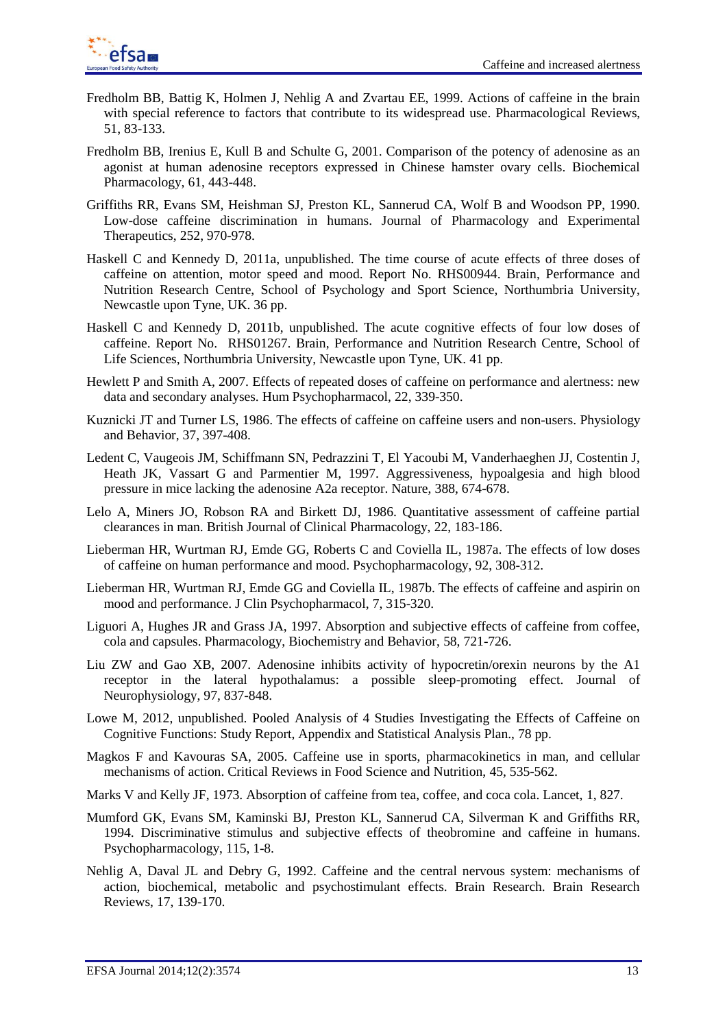

- <span id="page-12-8"></span>Fredholm BB, Battig K, Holmen J, Nehlig A and Zvartau EE, 1999. Actions of caffeine in the brain with special reference to factors that contribute to its widespread use. Pharmacological Reviews, 51, 83-133.
- <span id="page-12-11"></span>Fredholm BB, Irenius E, Kull B and Schulte G, 2001. Comparison of the potency of adenosine as an agonist at human adenosine receptors expressed in Chinese hamster ovary cells. Biochemical Pharmacology, 61, 443-448.
- <span id="page-12-2"></span>Griffiths RR, Evans SM, Heishman SJ, Preston KL, Sannerud CA, Wolf B and Woodson PP, 1990. Low-dose caffeine discrimination in humans. Journal of Pharmacology and Experimental Therapeutics, 252, 970-978.
- <span id="page-12-13"></span>Haskell C and Kennedy D, 2011a, unpublished. The time course of acute effects of three doses of caffeine on attention, motor speed and mood. Report No. RHS00944. Brain, Performance and Nutrition Research Centre, School of Psychology and Sport Science, Northumbria University, Newcastle upon Tyne, UK. 36 pp.
- <span id="page-12-17"></span>Haskell C and Kennedy D, 2011b, unpublished. The acute cognitive effects of four low doses of caffeine. Report No. RHS01267. Brain, Performance and Nutrition Research Centre, School of Life Sciences, Northumbria University, Newcastle upon Tyne, UK. 41 pp.
- <span id="page-12-16"></span>Hewlett P and Smith A, 2007. Effects of repeated doses of caffeine on performance and alertness: new data and secondary analyses. Hum Psychopharmacol, 22, 339-350.
- <span id="page-12-0"></span>Kuznicki JT and Turner LS, 1986. The effects of caffeine on caffeine users and non-users. Physiology and Behavior, 37, 397-408.
- <span id="page-12-10"></span>Ledent C, Vaugeois JM, Schiffmann SN, Pedrazzini T, El Yacoubi M, Vanderhaeghen JJ, Costentin J, Heath JK, Vassart G and Parmentier M, 1997. Aggressiveness, hypoalgesia and high blood pressure in mice lacking the adenosine A2a receptor. Nature, 388, 674-678.
- <span id="page-12-5"></span>Lelo A, Miners JO, Robson RA and Birkett DJ, 1986. Quantitative assessment of caffeine partial clearances in man. British Journal of Clinical Pharmacology, 22, 183-186.
- <span id="page-12-1"></span>Lieberman HR, Wurtman RJ, Emde GG, Roberts C and Coviella IL, 1987a. The effects of low doses of caffeine on human performance and mood. Psychopharmacology, 92, 308-312.
- <span id="page-12-15"></span>Lieberman HR, Wurtman RJ, Emde GG and Coviella IL, 1987b. The effects of caffeine and aspirin on mood and performance. J Clin Psychopharmacol, 7, 315-320.
- <span id="page-12-7"></span>Liguori A, Hughes JR and Grass JA, 1997. Absorption and subjective effects of caffeine from coffee, cola and capsules. Pharmacology, Biochemistry and Behavior, 58, 721-726.
- <span id="page-12-12"></span>Liu ZW and Gao XB, 2007. Adenosine inhibits activity of hypocretin/orexin neurons by the A1 receptor in the lateral hypothalamus: a possible sleep-promoting effect. Journal of Neurophysiology, 97, 837-848.
- <span id="page-12-14"></span>Lowe M, 2012, unpublished. Pooled Analysis of 4 Studies Investigating the Effects of Caffeine on Cognitive Functions: Study Report, Appendix and Statistical Analysis Plan., 78 pp.
- <span id="page-12-9"></span>Magkos F and Kavouras SA, 2005. Caffeine use in sports, pharmacokinetics in man, and cellular mechanisms of action. Critical Reviews in Food Science and Nutrition, 45, 535-562.
- <span id="page-12-4"></span>Marks V and Kelly JF, 1973. Absorption of caffeine from tea, coffee, and coca cola. Lancet, 1, 827.
- <span id="page-12-3"></span>Mumford GK, Evans SM, Kaminski BJ, Preston KL, Sannerud CA, Silverman K and Griffiths RR, 1994. Discriminative stimulus and subjective effects of theobromine and caffeine in humans. Psychopharmacology, 115, 1-8.
- <span id="page-12-6"></span>Nehlig A, Daval JL and Debry G, 1992. Caffeine and the central nervous system: mechanisms of action, biochemical, metabolic and psychostimulant effects. Brain Research. Brain Research Reviews, 17, 139-170.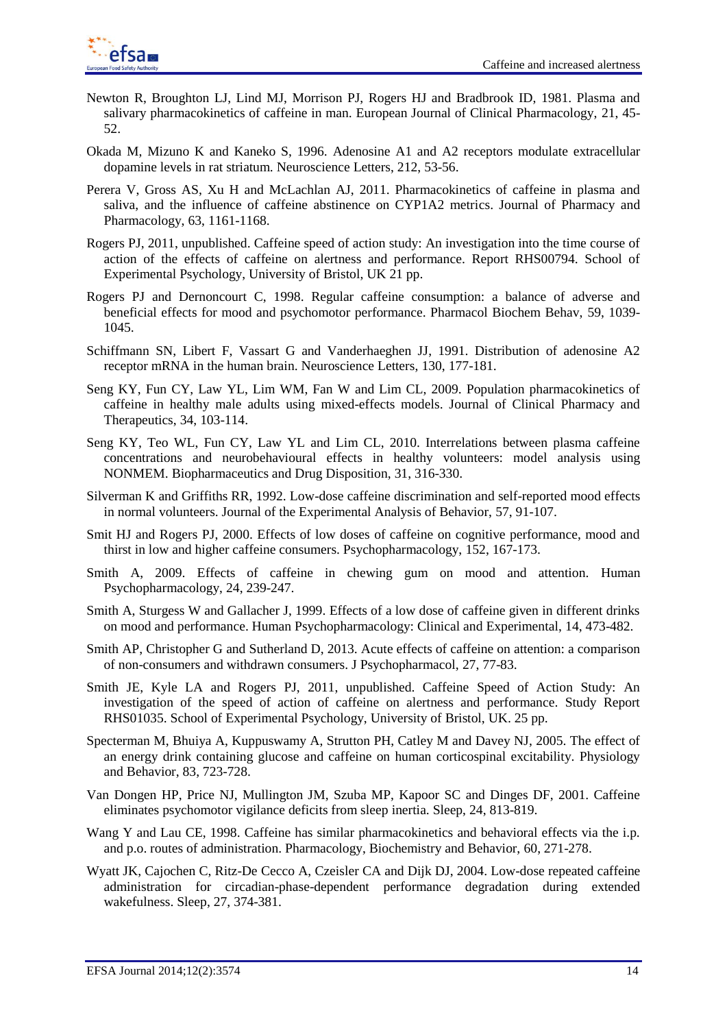

- <span id="page-13-5"></span>Newton R, Broughton LJ, Lind MJ, Morrison PJ, Rogers HJ and Bradbrook ID, 1981. Plasma and salivary pharmacokinetics of caffeine in man. European Journal of Clinical Pharmacology, 21, 45- 52.
- <span id="page-13-11"></span>Okada M, Mizuno K and Kaneko S, 1996. Adenosine A1 and A2 receptors modulate extracellular dopamine levels in rat striatum. Neuroscience Letters, 212, 53-56.
- <span id="page-13-8"></span>Perera V, Gross AS, Xu H and McLachlan AJ, 2011. Pharmacokinetics of caffeine in plasma and saliva, and the influence of caffeine abstinence on CYP1A2 metrics. Journal of Pharmacy and Pharmacology, 63, 1161-1168.
- <span id="page-13-13"></span>Rogers PJ, 2011, unpublished. Caffeine speed of action study: An investigation into the time course of action of the effects of caffeine on alertness and performance. Report RHS00794. School of Experimental Psychology, University of Bristol, UK 21 pp.
- <span id="page-13-15"></span>Rogers PJ and Dernoncourt C, 1998. Regular caffeine consumption: a balance of adverse and beneficial effects for mood and psychomotor performance. Pharmacol Biochem Behav, 59, 1039- 1045.
- <span id="page-13-10"></span>Schiffmann SN, Libert F, Vassart G and Vanderhaeghen JJ, 1991. Distribution of adenosine A2 receptor mRNA in the human brain. Neuroscience Letters, 130, 177-181.
- <span id="page-13-7"></span>Seng KY, Fun CY, Law YL, Lim WM, Fan W and Lim CL, 2009. Population pharmacokinetics of caffeine in healthy male adults using mixed-effects models. Journal of Clinical Pharmacy and Therapeutics, 34, 103-114.
- Seng KY, Teo WL, Fun CY, Law YL and Lim CL, 2010. Interrelations between plasma caffeine concentrations and neurobehavioural effects in healthy volunteers: model analysis using NONMEM. Biopharmaceutics and Drug Disposition, 31, 316-330.
- <span id="page-13-0"></span>Silverman K and Griffiths RR, 1992. Low-dose caffeine discrimination and self-reported mood effects in normal volunteers. Journal of the Experimental Analysis of Behavior, 57, 91-107.
- <span id="page-13-2"></span>Smit HJ and Rogers PJ, 2000. Effects of low doses of caffeine on cognitive performance, mood and thirst in low and higher caffeine consumers. Psychopharmacology, 152, 167-173.
- <span id="page-13-1"></span>Smith A, 2009. Effects of caffeine in chewing gum on mood and attention. Human Psychopharmacology, 24, 239-247.
- Smith A, Sturgess W and Gallacher J, 1999. Effects of a low dose of caffeine given in different drinks on mood and performance. Human Psychopharmacology: Clinical and Experimental, 14, 473-482.
- <span id="page-13-9"></span>Smith AP, Christopher G and Sutherland D, 2013. Acute effects of caffeine on attention: a comparison of non-consumers and withdrawn consumers. J Psychopharmacol, 27, 77-83.
- <span id="page-13-14"></span>Smith JE, Kyle LA and Rogers PJ, 2011, unpublished. Caffeine Speed of Action Study: An investigation of the speed of action of caffeine on alertness and performance. Study Report RHS01035. School of Experimental Psychology, University of Bristol, UK. 25 pp.
- <span id="page-13-6"></span>Specterman M, Bhuiya A, Kuppuswamy A, Strutton PH, Catley M and Davey NJ, 2005. The effect of an energy drink containing glucose and caffeine on human corticospinal excitability. Physiology and Behavior, 83, 723-728.
- <span id="page-13-3"></span>Van Dongen HP, Price NJ, Mullington JM, Szuba MP, Kapoor SC and Dinges DF, 2001. Caffeine eliminates psychomotor vigilance deficits from sleep inertia. Sleep, 24, 813-819.
- <span id="page-13-12"></span>Wang Y and Lau CE, 1998. Caffeine has similar pharmacokinetics and behavioral effects via the i.p. and p.o. routes of administration. Pharmacology, Biochemistry and Behavior, 60, 271-278.
- <span id="page-13-4"></span>Wyatt JK, Cajochen C, Ritz-De Cecco A, Czeisler CA and Dijk DJ, 2004. Low-dose repeated caffeine administration for circadian-phase-dependent performance degradation during extended wakefulness. Sleep, 27, 374-381.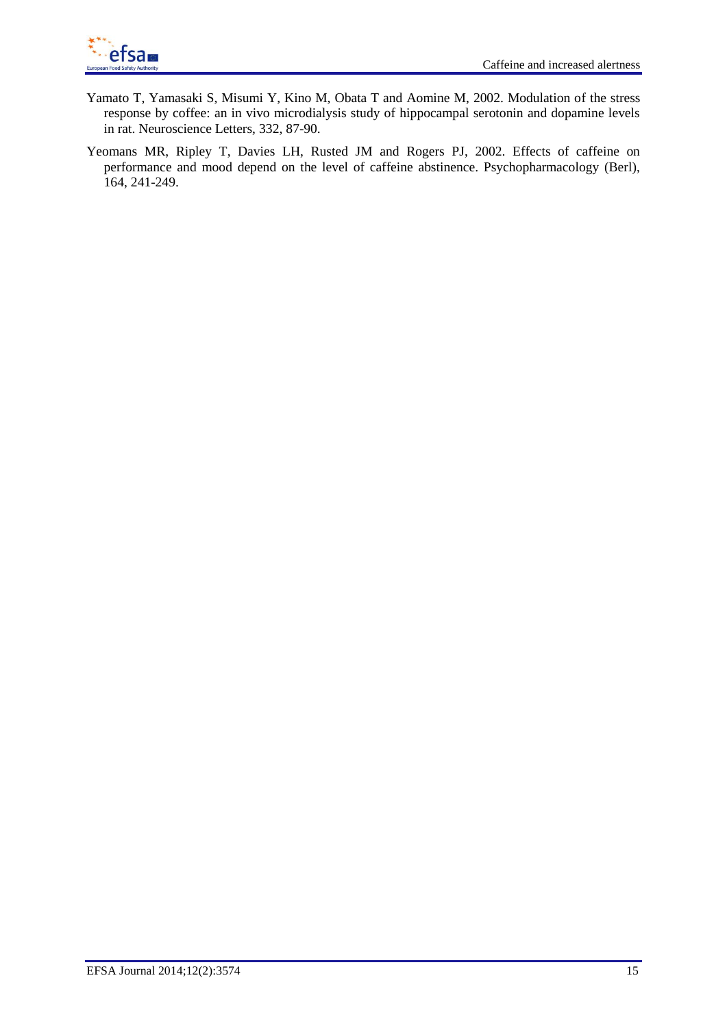

- <span id="page-14-0"></span>Yamato T, Yamasaki S, Misumi Y, Kino M, Obata T and Aomine M, 2002. Modulation of the stress response by coffee: an in vivo microdialysis study of hippocampal serotonin and dopamine levels in rat. Neuroscience Letters, 332, 87-90.
- <span id="page-14-1"></span>Yeomans MR, Ripley T, Davies LH, Rusted JM and Rogers PJ, 2002. Effects of caffeine on performance and mood depend on the level of caffeine abstinence. Psychopharmacology (Berl), 164, 241-249.